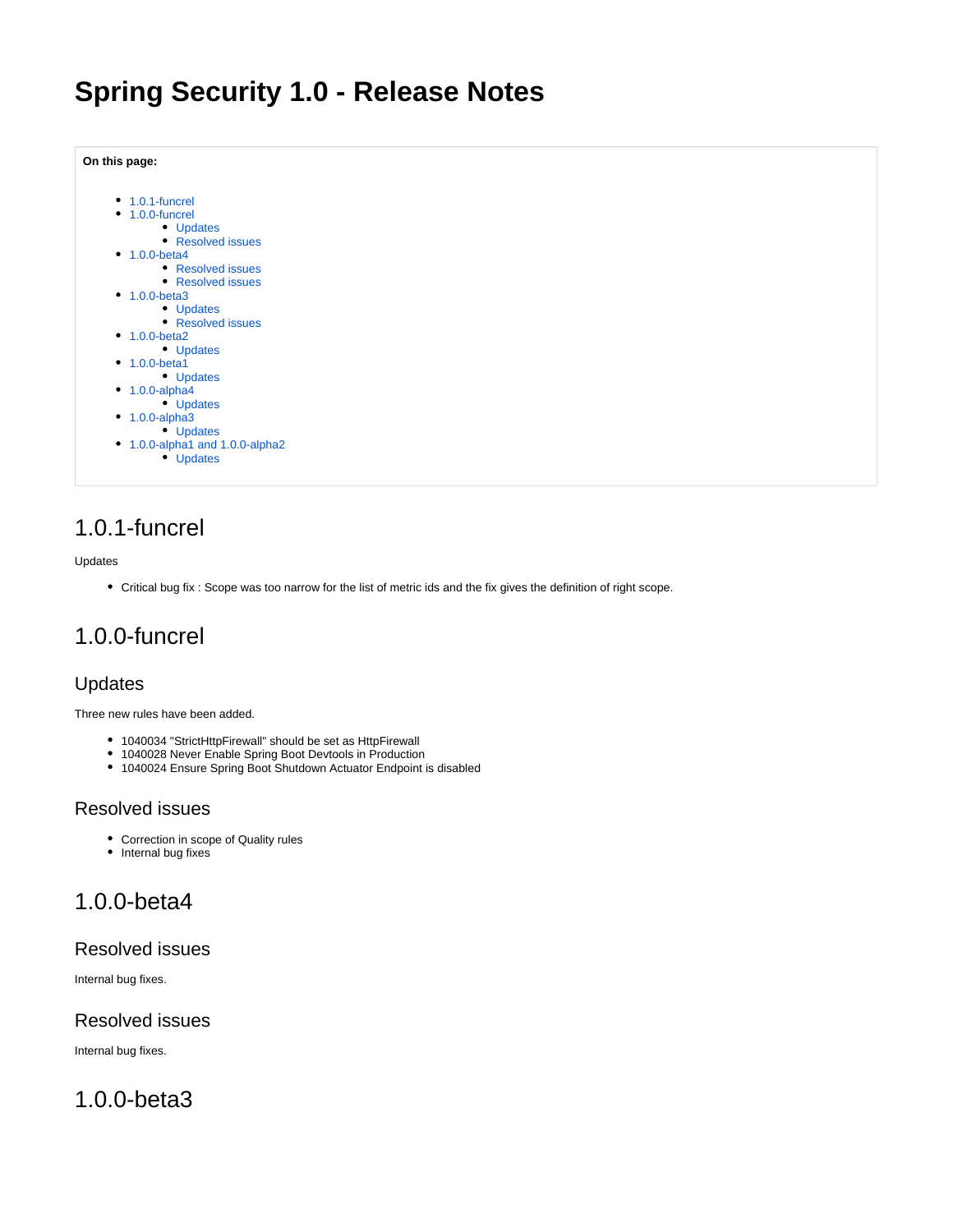# **Spring Security 1.0 - Release Notes**

| On this page:                 |
|-------------------------------|
| $\cdot$ 1.0.1-funcrel         |
| $\cdot$ 1.0.0-funcrel         |
| <b>Updates</b>                |
| <b>Resolved issues</b>        |
| $1.0.0$ -beta4                |
| • Resolved issues             |
| <b>Resolved issues</b>        |
| $\cdot$ 1.0.0-beta3           |
| <b>Updates</b>                |
| <b>Resolved issues</b>        |
| $\cdot$ 1.0.0-beta2           |
| • Updates                     |
| $1.0.0 - beta1$               |
| Updates                       |
| $1.0.0$ -alpha4               |
| Updates                       |
| $1.0.0$ -alpha $3$            |
| <b>Updates</b>                |
| 1.0.0-alpha1 and 1.0.0-alpha2 |
| <b>Updates</b>                |

### <span id="page-0-0"></span>1.0.1-funcrel

#### Updates

Critical bug fix : Scope was too narrow for the list of metric ids and the fix gives the definition of right scope.

### <span id="page-0-1"></span>1.0.0-funcrel

#### <span id="page-0-2"></span>Updates

Three new rules have been added.

- 1040034 "StrictHttpFirewall" should be set as HttpFirewall
- 1040028 Never Enable Spring Boot Devtools in Production
- 1040024 Ensure Spring Boot Shutdown Actuator Endpoint is disabled

#### <span id="page-0-3"></span>Resolved issues

- Correction in scope of Quality rules
- Internal bug fixes

### <span id="page-0-4"></span>1.0.0-beta4

#### <span id="page-0-5"></span>Resolved issues

Internal bug fixes.

#### <span id="page-0-6"></span>Resolved issues

Internal bug fixes.

### <span id="page-0-8"></span><span id="page-0-7"></span>1.0.0-beta3